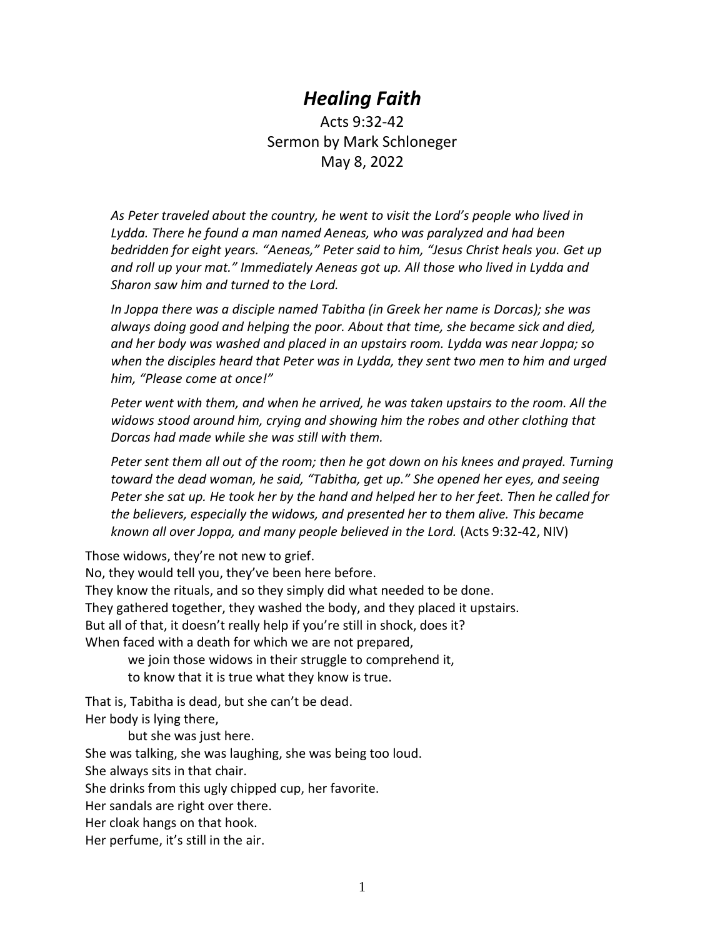## *Healing Faith*

Acts 9:32-42 Sermon by Mark Schloneger May 8, 2022

*As Peter traveled about the country, he went to visit the Lord's people who lived in Lydda. There he found a man named Aeneas, who was paralyzed and had been bedridden for eight years. "Aeneas," Peter said to him, "Jesus Christ heals you. Get up and roll up your mat." Immediately Aeneas got up. All those who lived in Lydda and Sharon saw him and turned to the Lord.*

*In Joppa there was a disciple named Tabitha (in Greek her name is Dorcas); she was always doing good and helping the poor. About that time, she became sick and died, and her body was washed and placed in an upstairs room. Lydda was near Joppa; so when the disciples heard that Peter was in Lydda, they sent two men to him and urged him, "Please come at once!"*

*Peter went with them, and when he arrived, he was taken upstairs to the room. All the widows stood around him, crying and showing him the robes and other clothing that Dorcas had made while she was still with them.*

*Peter sent them all out of the room; then he got down on his knees and prayed. Turning toward the dead woman, he said, "Tabitha, get up." She opened her eyes, and seeing Peter she sat up. He took her by the hand and helped her to her feet. Then he called for the believers, especially the widows, and presented her to them alive. This became known all over Joppa, and many people believed in the Lord.* (Acts 9:32-42, NIV)

Those widows, they're not new to grief.

No, they would tell you, they've been here before. They know the rituals, and so they simply did what needed to be done. They gathered together, they washed the body, and they placed it upstairs. But all of that, it doesn't really help if you're still in shock, does it?

When faced with a death for which we are not prepared,

we join those widows in their struggle to comprehend it, to know that it is true what they know is true.

That is, Tabitha is dead, but she can't be dead.

Her body is lying there,

but she was just here.

She was talking, she was laughing, she was being too loud.

She always sits in that chair.

She drinks from this ugly chipped cup, her favorite.

Her sandals are right over there.

Her cloak hangs on that hook.

Her perfume, it's still in the air.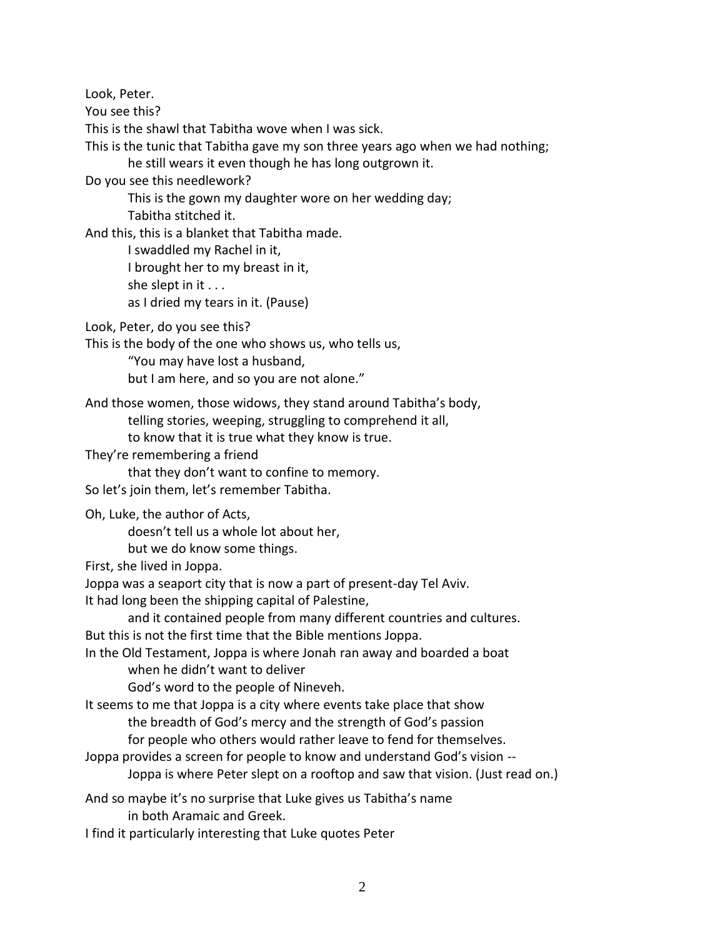Look, Peter.

You see this?

This is the shawl that Tabitha wove when I was sick.

This is the tunic that Tabitha gave my son three years ago when we had nothing;

he still wears it even though he has long outgrown it.

Do you see this needlework?

This is the gown my daughter wore on her wedding day;

Tabitha stitched it.

And this, this is a blanket that Tabitha made.

I swaddled my Rachel in it,

I brought her to my breast in it,

she slept in it . . .

as I dried my tears in it. (Pause)

Look, Peter, do you see this?

This is the body of the one who shows us, who tells us,

"You may have lost a husband,

but I am here, and so you are not alone."

And those women, those widows, they stand around Tabitha's body,

telling stories, weeping, struggling to comprehend it all,

to know that it is true what they know is true.

They're remembering a friend

that they don't want to confine to memory.

So let's join them, let's remember Tabitha.

Oh, Luke, the author of Acts,

doesn't tell us a whole lot about her,

but we do know some things.

First, she lived in Joppa.

Joppa was a seaport city that is now a part of present-day Tel Aviv.

It had long been the shipping capital of Palestine,

and it contained people from many different countries and cultures.

But this is not the first time that the Bible mentions Joppa.

In the Old Testament, Joppa is where Jonah ran away and boarded a boat when he didn't want to deliver

God's word to the people of Nineveh.

It seems to me that Joppa is a city where events take place that show

the breadth of God's mercy and the strength of God's passion

for people who others would rather leave to fend for themselves.

Joppa provides a screen for people to know and understand God's vision --

Joppa is where Peter slept on a rooftop and saw that vision. (Just read on.)

And so maybe it's no surprise that Luke gives us Tabitha's name

in both Aramaic and Greek.

I find it particularly interesting that Luke quotes Peter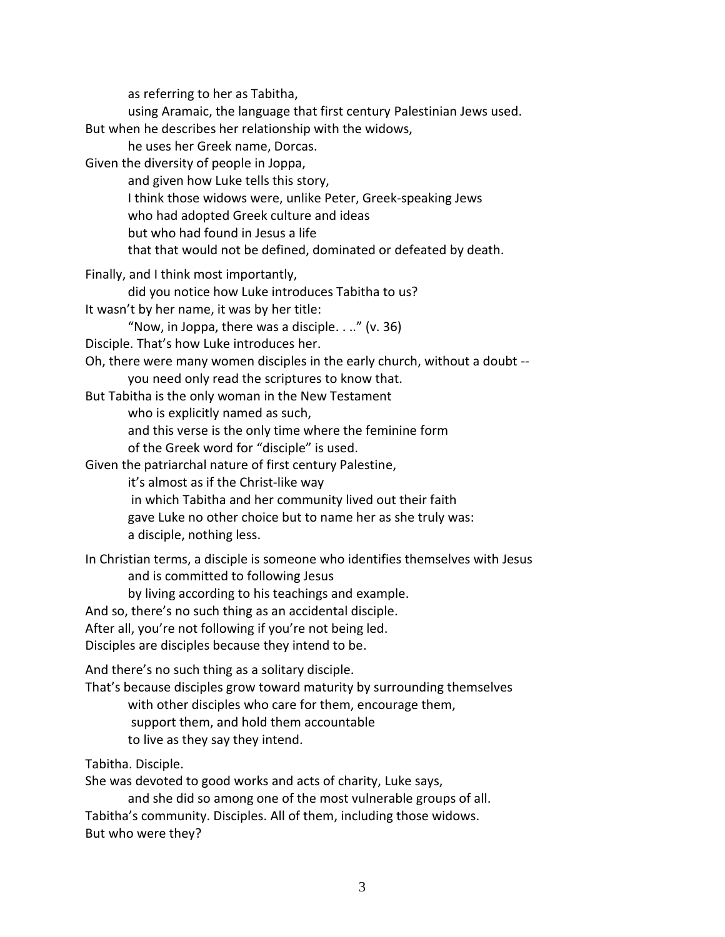as referring to her as Tabitha, using Aramaic, the language that first century Palestinian Jews used. But when he describes her relationship with the widows, he uses her Greek name, Dorcas. Given the diversity of people in Joppa, and given how Luke tells this story, I think those widows were, unlike Peter, Greek-speaking Jews who had adopted Greek culture and ideas but who had found in Jesus a life that that would not be defined, dominated or defeated by death. Finally, and I think most importantly, did you notice how Luke introduces Tabitha to us? It wasn't by her name, it was by her title: "Now, in Joppa, there was a disciple. . .." (v. 36) Disciple. That's how Luke introduces her. Oh, there were many women disciples in the early church, without a doubt - you need only read the scriptures to know that. But Tabitha is the only woman in the New Testament who is explicitly named as such, and this verse is the only time where the feminine form of the Greek word for "disciple" is used. Given the patriarchal nature of first century Palestine, it's almost as if the Christ-like way in which Tabitha and her community lived out their faith gave Luke no other choice but to name her as she truly was: a disciple, nothing less. In Christian terms, a disciple is someone who identifies themselves with Jesus and is committed to following Jesus by living according to his teachings and example. And so, there's no such thing as an accidental disciple. After all, you're not following if you're not being led. Disciples are disciples because they intend to be. And there's no such thing as a solitary disciple. That's because disciples grow toward maturity by surrounding themselves with other disciples who care for them, encourage them, support them, and hold them accountable to live as they say they intend.

Tabitha. Disciple.

She was devoted to good works and acts of charity, Luke says,

and she did so among one of the most vulnerable groups of all. Tabitha's community. Disciples. All of them, including those widows. But who were they?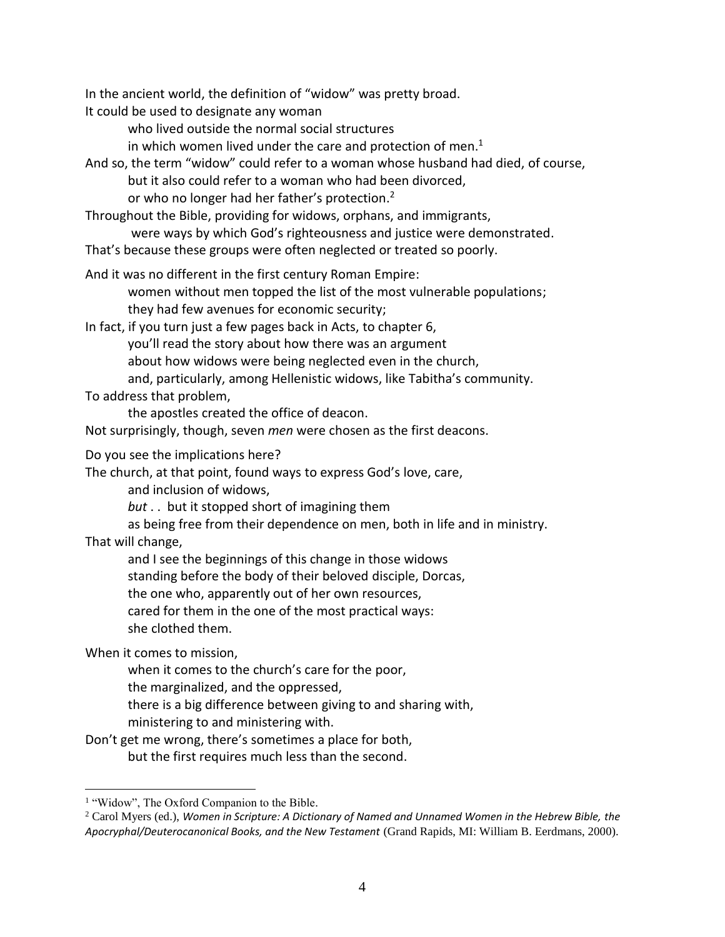In the ancient world, the definition of "widow" was pretty broad.

It could be used to designate any woman

who lived outside the normal social structures

in which women lived under the care and protection of men.<sup>1</sup>

And so, the term "widow" could refer to a woman whose husband had died, of course, but it also could refer to a woman who had been divorced, or who no longer had her father's protection.<sup>2</sup>

Throughout the Bible, providing for widows, orphans, and immigrants,

were ways by which God's righteousness and justice were demonstrated.

That's because these groups were often neglected or treated so poorly.

And it was no different in the first century Roman Empire:

women without men topped the list of the most vulnerable populations; they had few avenues for economic security;

In fact, if you turn just a few pages back in Acts, to chapter 6, you'll read the story about how there was an argument about how widows were being neglected even in the church, and, particularly, among Hellenistic widows, like Tabitha's community.

To address that problem,

the apostles created the office of deacon.

Not surprisingly, though, seven *men* were chosen as the first deacons.

Do you see the implications here?

The church, at that point, found ways to express God's love, care,

and inclusion of widows,

*but* . . but it stopped short of imagining them

as being free from their dependence on men, both in life and in ministry.

That will change,

 $\overline{a}$ 

and I see the beginnings of this change in those widows

standing before the body of their beloved disciple, Dorcas,

the one who, apparently out of her own resources,

cared for them in the one of the most practical ways:

she clothed them.

When it comes to mission,

when it comes to the church's care for the poor,

the marginalized, and the oppressed,

there is a big difference between giving to and sharing with,

ministering to and ministering with.

Don't get me wrong, there's sometimes a place for both, but the first requires much less than the second.

<sup>&</sup>lt;sup>1</sup> "Widow", The Oxford Companion to the Bible.

<sup>2</sup> Carol Myers (ed.), *Women in Scripture: A Dictionary of Named and Unnamed Women in the Hebrew Bible, the Apocryphal/Deuterocanonical Books, and the New Testament* (Grand Rapids, MI: William B. Eerdmans, 2000).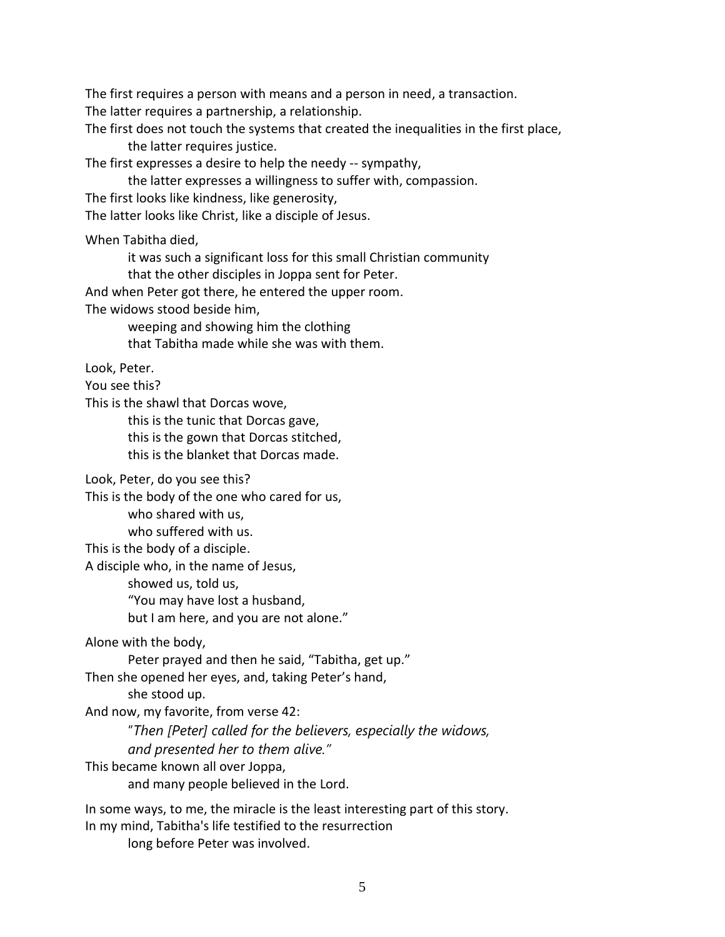The first requires a person with means and a person in need, a transaction.

The latter requires a partnership, a relationship.

The first does not touch the systems that created the inequalities in the first place, the latter requires justice.

The first expresses a desire to help the needy -- sympathy,

the latter expresses a willingness to suffer with, compassion.

The first looks like kindness, like generosity,

The latter looks like Christ, like a disciple of Jesus.

When Tabitha died,

it was such a significant loss for this small Christian community

that the other disciples in Joppa sent for Peter.

And when Peter got there, he entered the upper room.

The widows stood beside him,

weeping and showing him the clothing that Tabitha made while she was with them.

Look, Peter.

You see this?

This is the shawl that Dorcas wove,

this is the tunic that Dorcas gave,

this is the gown that Dorcas stitched,

this is the blanket that Dorcas made.

Look, Peter, do you see this?

This is the body of the one who cared for us,

who shared with us,

who suffered with us.

This is the body of a disciple.

A disciple who, in the name of Jesus,

showed us, told us,

"You may have lost a husband,

but I am here, and you are not alone."

Alone with the body,

Peter prayed and then he said, "Tabitha, get up."

Then she opened her eyes, and, taking Peter's hand,

she stood up.

And now, my favorite, from verse 42:

"*Then [Peter] called for the believers, especially the widows,* 

*and presented her to them alive."*

This became known all over Joppa,

and many people believed in the Lord.

In some ways, to me, the miracle is the least interesting part of this story.

In my mind, Tabitha's life testified to the resurrection

long before Peter was involved.